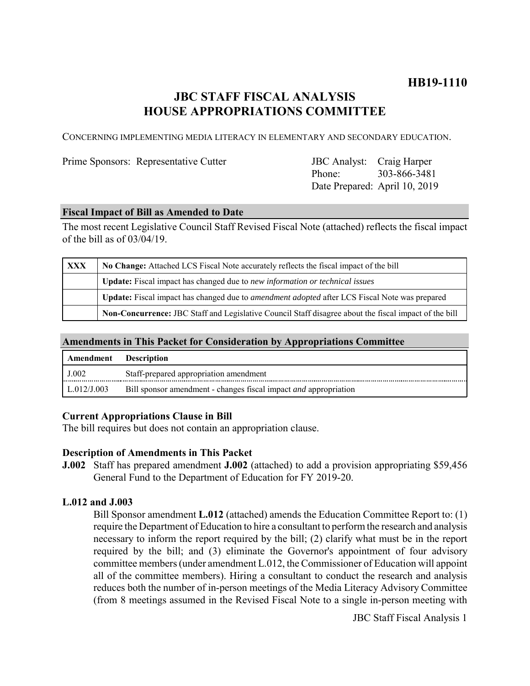# **HB19-1110**

# **JBC STAFF FISCAL ANALYSIS HOUSE APPROPRIATIONS COMMITTEE**

CONCERNING IMPLEMENTING MEDIA LITERACY IN ELEMENTARY AND SECONDARY EDUCATION.

Prime Sponsors: Representative Cutter

Phone: Date Prepared: April 10, 2019 JBC Analyst: Craig Harper 303-866-3481

### **Fiscal Impact of Bill as Amended to Date**

The most recent Legislative Council Staff Revised Fiscal Note (attached) reflects the fiscal impact of the bill as of 03/04/19.

| XXX | No Change: Attached LCS Fiscal Note accurately reflects the fiscal impact of the bill                       |  |  |
|-----|-------------------------------------------------------------------------------------------------------------|--|--|
|     | <b>Update:</b> Fiscal impact has changed due to new information or technical issues                         |  |  |
|     | <b>Update:</b> Fiscal impact has changed due to <i>amendment adopted</i> after LCS Fiscal Note was prepared |  |  |
|     | Non-Concurrence: JBC Staff and Legislative Council Staff disagree about the fiscal impact of the bill       |  |  |

## **Amendments in This Packet for Consideration by Appropriations Committee**

| <b>Amendment</b> Description |                                                                         |
|------------------------------|-------------------------------------------------------------------------|
| J.002                        | Staff-prepared appropriation amendment                                  |
| $\mathsf{L}.012/J.003$       | Bill sponsor amendment - changes fiscal impact <i>and</i> appropriation |

## **Current Appropriations Clause in Bill**

The bill requires but does not contain an appropriation clause.

#### **Description of Amendments in This Packet**

**J.002** Staff has prepared amendment **J.002** (attached) to add a provision appropriating \$59,456 General Fund to the Department of Education for FY 2019-20.

# **L.012 and J.003**

Bill Sponsor amendment **L.012** (attached) amends the Education Committee Report to: (1) require the Department of Education to hire a consultant to perform the research and analysis necessary to inform the report required by the bill; (2) clarify what must be in the report required by the bill; and (3) eliminate the Governor's appointment of four advisory committee members (under amendment L.012, the Commissioner of Education will appoint all of the committee members). Hiring a consultant to conduct the research and analysis reduces both the number of in-person meetings of the Media Literacy Advisory Committee (from 8 meetings assumed in the Revised Fiscal Note to a single in-person meeting with

JBC Staff Fiscal Analysis 1